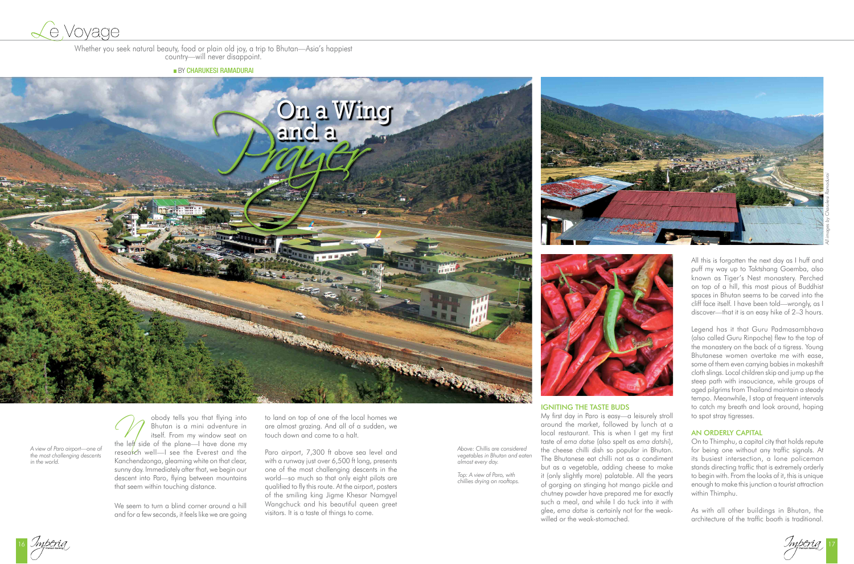

Whether you seek natural beauty, food or plain old joy, a trip to Bhutan—Asia's happiest country—will never disappoint.

**BY CHARUKESI RAMADURAI** 

*Above: Chillis are considered vegetables in Bhutan and eaten almost every day.*

*Top: A view of Paro, with chillies drying on rooftops.*

Impering responsible to the contract of the contract of the contract of the contract of the contract of the contract of the contract of the contract of the contract of the contract of the contract of the contract of the co

*A view of Paro airport—one of the most challenging descents in the world.*

Obody tells you that flying into<br>
itself. From my window seat on<br>
the left side of the plane—I have done my Bhutan is a mini adventure in itself. From my window seat on research well-I see the Everest and the Kanchendzonga, gleaming white on that clear, sunny day. Immediately after that, we begin our descent into Paro, flying between mountains that seem within touching distance.







We seem to turn a blind corner around a hill and for a few seconds, it feels like we are going

to land on top of one of the local homes we are almost grazing. And all of a sudden, we touch down and come to a halt.

Paro airport, 7,300 ft above sea level and with a runway just over 6,500 ft long, presents one of the most challenging descents in the world—so much so that only eight pilots are qualified to fly this route. At the airport, posters of the smiling king Jigme Khesar Namgyel Wangchuck and his beautiful queen greet visitors. It is a taste of things to come.

## Igniting the taste buds

My first day in Paro is easy—a leisurely stroll around the market, followed by lunch at a local restaurant. This is when I get my first taste of *ema datse* (also spelt as *ema datshi*), the cheese chilli dish so popular in Bhutan. The Bhutanese eat chilli not as a condiment but as a vegetable, adding cheese to make it (only slightly more) palatable. All the years of gorging on stinging hot mango pickle and chutney powder have prepared me for exactly such a meal, and while I do tuck into it with glee, *ema datse* is certainly not for the weakwilled or the weak-stomached.

All this is forgotten the next day as I huff and puff my way up to Taktshang Goemba, also known as Tiger's Nest monastery. Perched on top of a hill, this most pious of Buddhist spaces in Bhutan seems to be carved into the cliff face itself. I have been told—wrongly, as I discover—that it is an easy hike of 2–3 hours.

Legend has it that Guru Padmasambhava (also called Guru Rinpoche) flew to the top of the monastery on the back of a tigress. Young Bhutanese women overtake me with ease, some of them even carrying babies in makeshift cloth slings. Local children skip and jump up the steep path with insouciance, while groups of aged pilgrims from Thailand maintain a steady tempo. Meanwhile, I stop at frequent intervals to catch my breath and look around, hoping to spot stray tigresses.

# An orderly capital

On to Thimphu, a capital city that holds repute for being one without any traffic signals. At its busiest intersection, a lone policeman stands directing traffic that is extremely orderly to begin with. From the looks of it, this is unique enough to make this junction a tourist attraction within Thimphu.

As with all other buildings in Bhutan, the architecture of the traffic booth is traditional.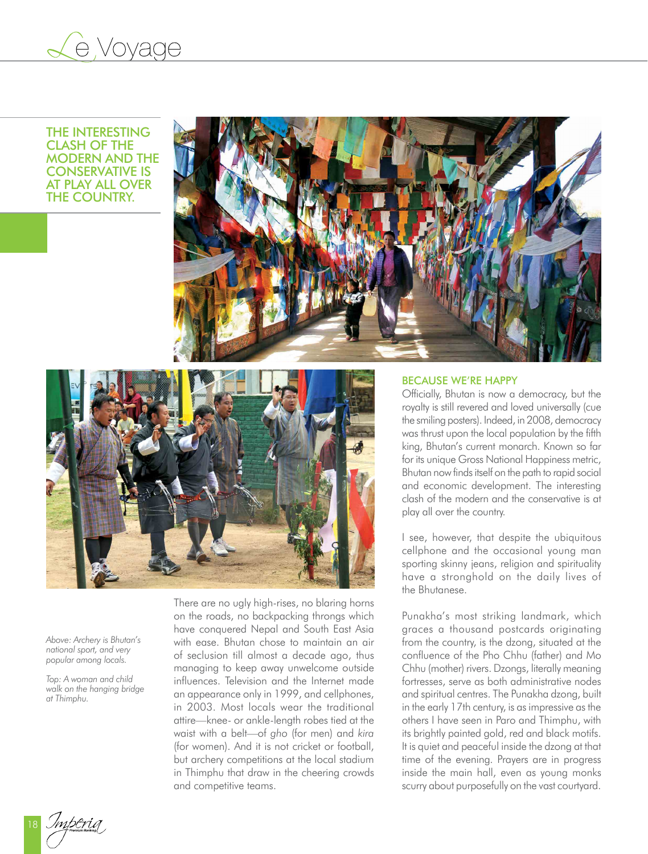

The interesting clash of the modern and the conservative is at play all over **THE COUNTRY.** 





*Above: Archery is Bhutan's national sport, and very popular among locals.*

*Top: A woman and child walk on the hanging bridge at Thimphu.*

There are no ugly high-rises, no blaring horns on the roads, no backpacking throngs which have conquered Nepal and South East Asia with ease. Bhutan chose to maintain an air of seclusion till almost a decade ago, thus managing to keep away unwelcome outside influences. Television and the Internet made an appearance only in 1999, and cellphones, in 2003. Most locals wear the traditional attire—knee- or ankle-length robes tied at the waist with a belt—of *gho* (for men) and *kira*  (for women). And it is not cricket or football, but archery competitions at the local stadium in Thimphu that draw in the cheering crowds and competitive teams.

### Because we're happy

Officially, Bhutan is now a democracy, but the royalty is still revered and loved universally (cue the smiling posters). Indeed, in 2008, democracy was thrust upon the local population by the fifth king, Bhutan's current monarch. Known so far for its unique Gross National Happiness metric, Bhutan now finds itself on the path to rapid social and economic development. The interesting clash of the modern and the conservative is at play all over the country.

I see, however, that despite the ubiquitous cellphone and the occasional young man sporting skinny jeans, religion and spirituality have a stronghold on the daily lives of the Bhutanese.

Punakha's most striking landmark, which graces a thousand postcards originating from the country, is the dzong, situated at the confluence of the Pho Chhu (father) and Mo Chhu (mother) rivers. Dzongs, literally meaning fortresses, serve as both administrative nodes and spiritual centres. The Punakha dzong, built in the early 17th century, is as impressive as the others I have seen in Paro and Thimphu, with its brightly painted gold, red and black motifs. It is quiet and peaceful inside the dzong at that time of the evening. Prayers are in progress inside the main hall, even as young monks scurry about purposefully on the vast courtyard.